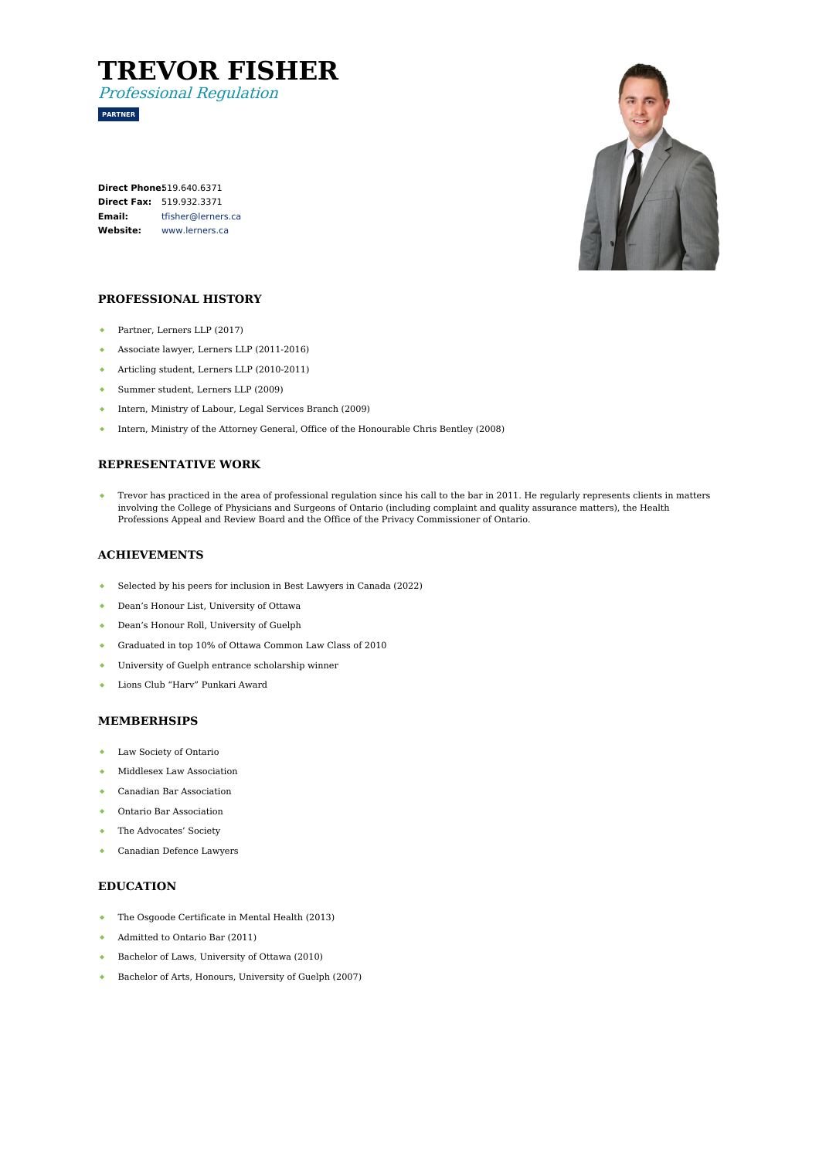# **TREVOR FISHER**

Professional Regulation

**PARTNER**

**Direct Phone:** [519.640.6371](tel:519.640.6371) **Direct Fax:** 519.932.3371 **Email: Website:** [www.lerners.ca](https://www.lerners.ca/) [tfisher@lerners.ca](mailto:tfisher@lerners.ca)



### **PROFESSIONAL HISTORY**

- Partner, Lerners LLP (2017)  $\Delta \sim 1$
- $\bullet$  . Associate lawyer, Lerners LLP (2011-2016)
- Articling student, Lerners LLP (2010-2011)  $\bullet$  .
- Summer student, Lerners LLP (2009)  $\mathbf{a}^{\top}$
- Intern, Ministry of Labour, Legal Services Branch (2009)
- Intern, Ministry of the Attorney General, Office of the Honourable Chris Bentley (2008)

# **REPRESENTATIVE WORK**

Trevor has practiced in the area of professional regulation since his call to the bar in 2011. He regularly represents clients in matters involving the College of Physicians and Surgeons of Ontario (including complaint and quality assurance matters), the Health Professions Appeal and Review Board and the Office of the Privacy Commissioner of Ontario.

#### **ACHIEVEMENTS**

- $\Delta$ Selected by his peers for inclusion in Best Lawyers in Canada (2022)
- $\bullet$ Dean's Honour List, University of Ottawa
- Dean's Honour Roll, University of Guelph  $\bullet$
- $\bullet$ Graduated in top 10% of Ottawa Common Law Class of 2010
- University of Guelph entrance scholarship winner  $\bullet$
- Lions Club "Harv" Punkari Award  $\bullet$

#### **MEMBERHSIPS**

- $\bullet$  . Law Society of Ontario
- Middlesex Law Association
- $\bullet$  . Canadian Bar Association
- Ontario Bar Association
- The Advocates' Society
- Canadian Defence Lawyers

## **EDUCATION**

- The Osgoode Certificate in Mental Health (2013)  $\mathbf{A}$  .
- Admitted to Ontario Bar (2011)  $\bullet$
- Bachelor of Laws, University of Ottawa (2010)  $\Delta$
- $\bullet$ Bachelor of Arts, Honours, University of Guelph (2007)